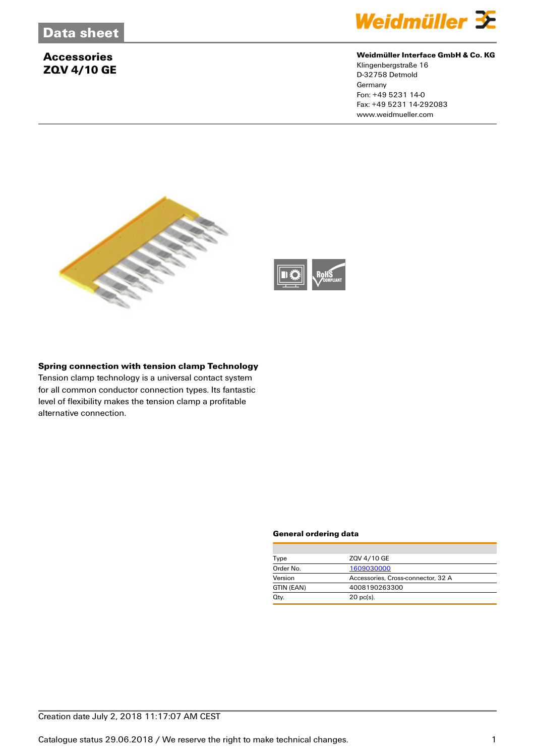# **Accessories ZQV 4/10 GE**



## **Weidmüller Interface GmbH & Co. KG**

Klingenbergstraße 16 D-32758 Detmold **Germany** Fon: +49 5231 14-0 Fax: +49 5231 14-292083 www.weidmueller.com





## **Spring connection with tension clamp Technology**

Tension clamp technology is a universal contact system for all common conductor connection types. Its fantastic level of flexibility makes the tension clamp a profitable alternative connection.

#### **General ordering data**

| Type       | ZQV 4/10 GE                        |  |
|------------|------------------------------------|--|
| Order No.  | 1609030000                         |  |
| Version    | Accessories, Cross-connector, 32 A |  |
| GTIN (EAN) | 4008190263300                      |  |
| Qty.       | $20$ pc(s).                        |  |